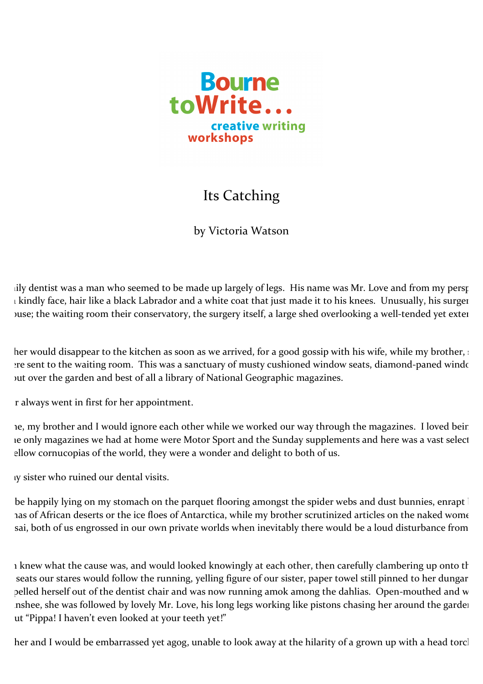

## Its Catching

by Victoria Watson

ily dentist was a man who seemed to be made up largely of legs. His name was Mr. Love and from my perspective  $\mu$  kindly face, hair like a black Labrador and a white coat that just made it to his knees. Unusually, his surger juse; the waiting room their conservatory, the surgery itself, a large shed overlooking a well-tended yet exten

her would disappear to the kitchen as soon as we arrived, for a good gossip with his wife, while my brother, and are sent to the waiting room. This was a sanctuary of musty cushioned window seats, diamond-paned windows out over the garden and best of all a library of National Geographic magazines.

r always went in first for her appointment.

le, my brother and I would ignore each other while we worked our way through the magazines. I loved being the only magazines we had at home were Motor Sport and the Sunday supplements and here was a vast select ellow cornucopias of the world, they were a wonder and delight to both of us.

It was interval our dental visits.

be happily lying on my stomach on the parquet flooring amongst the spider webs and dust bunnies, enrapt by has of African deserts or the ice floes of Antarctica, while my brother scrutinized articles on the naked wome sai, both of us engrossed in our own private worlds when inevitably there would be a loud disturbance from

I knew what the cause was, and would looked knowingly at each other, then carefully clambering up onto the seats our stares would follow the running, yelling figure of our sister, paper towel still pinned to her dungar pelled herself out of the dentist chair and was now running amok among the dahlias. Open-mouthed and w inshee, she was followed by lovely Mr. Love, his long legs working like pistons chasing her around the garden ut "Pippa! I haven't even looked at your teeth yet!"

her and I would be embarrassed yet agog, unable to look away at the hilarity of a grown up with a head torcl